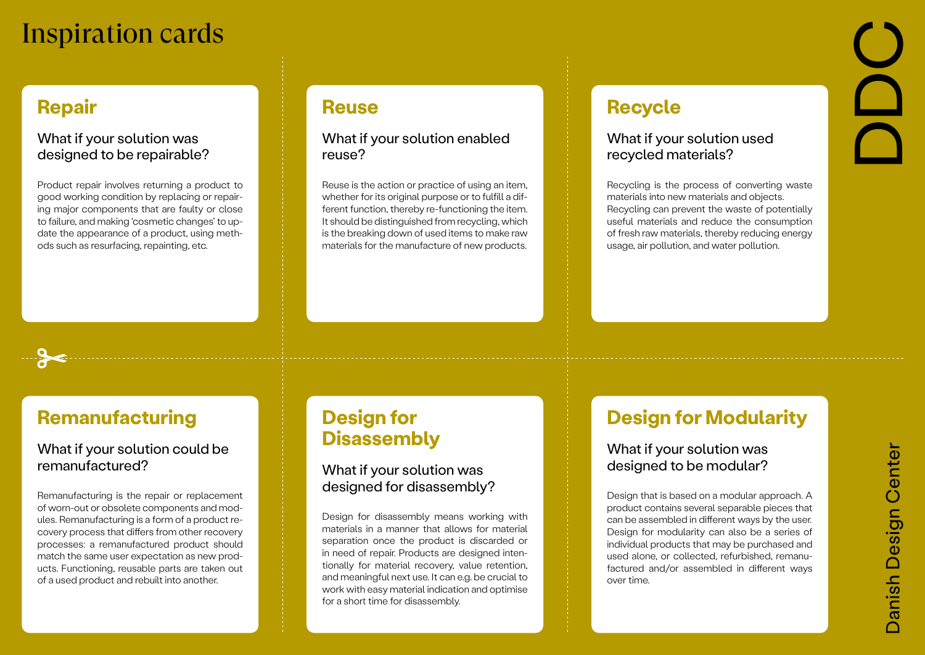### **Repair**

#### What if your solution was designed to be repairable?

Product repair involves returning a product to good working condition by replacing or repairing major components that are faulty or close to failure, and making 'cosmetic changes' to update the appearance of a product, using methods such as resurfacing, repainting, etc.

### **Reuse**

#### What if your solution enabled reuse?

Reuse is the action or practice of using an item, whether for its original purpose or to fulfill a different function, thereby re-functioning the item. It should be distinguished from recycling, which is the breaking down of used items to make raw materials for the manufacture of new products.

### **Recycle**

#### What if your solution used recycled materials?

Recycling is the process of converting waste materials into new materials and objects. Recycling can prevent the waste of potentially useful materials and reduce the consumption of fresh raw materials, thereby reducing energy usage, air pollution, and water pollution.

### **Remanufacturing**

#### What if your solution could be remanufactured?

Remanufacturing is the repair or replacement of worn-out or obsolete components and modules. Remanufacturing is a form of a product recovery process that differs from other recovery processes: a remanufactured product should match the same user expectation as new products. Functioning, reusable parts are taken out of a used product and rebuilt into another.

# **Design for Disassembly**

#### What if your solution was designed for disassembly?

Design for disassembly means working with materials in a manner that allows for material separation once the product is discarded or in need of repair. Products are designed intentionally for material recovery, value retention, and meaningful next use. It can e.g. be crucial to work with easy material indication and optimise for a short time for disassembly.

## **Design for Modularity**

#### What if your solution was designed to be modular?

Design that is based on a modular approach. A product contains several separable pieces that can be assembled in different ways by the user. Design for modularity can also be a series of individual products that may be purchased and used alone, or collected, refurbished, remanufactured and/or assembled in different ways over time.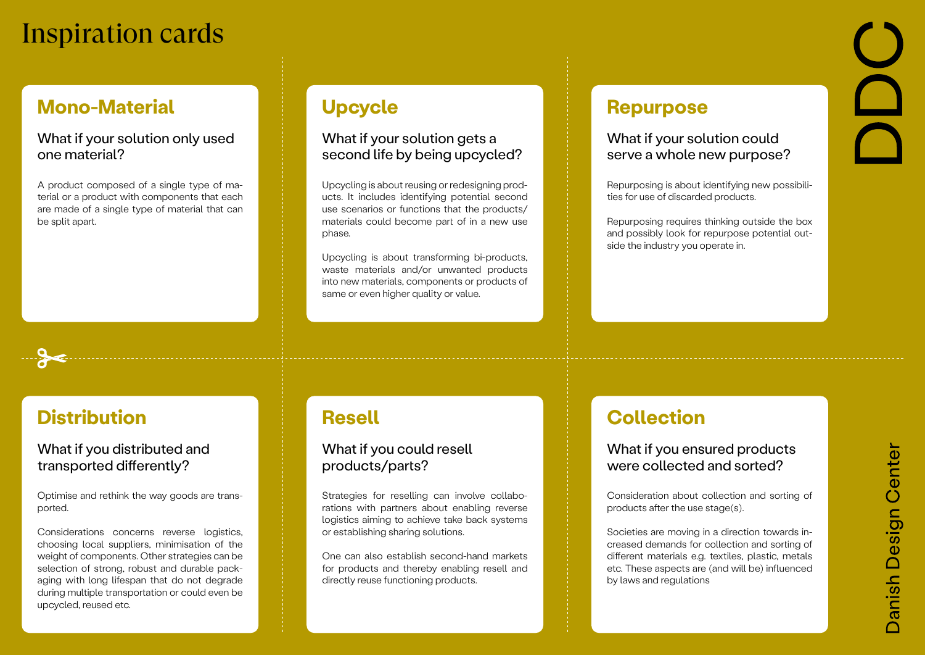### **Mono-Material**

#### What if your solution only used one material?

A product composed of a single type of material or a product with components that each are made of a single type of material that can be split apart.

# **Upcycle**

#### What if your solution gets a second life by being upcycled?

Upcycling is about reusing or redesigning products. It includes identifying potential second use scenarios or functions that the products/ materials could become part of in a new use phase.

Upcycling is about transforming bi-products, waste materials and/or unwanted products into new materials, components or products of same or even higher quality or value.

### **Repurpose**

#### What if your solution could serve a whole new purpose?

Repurposing is about identifying new possibilities for use of discarded products.

Repurposing requires thinking outside the box and possibly look for repurpose potential outside the industry you operate in.

# **Distribution**

#### What if you distributed and transported differently?

Optimise and rethink the way goods are transported.

Considerations concerns reverse logistics, choosing local suppliers, minimisation of the weight of components. Other strategies can be selection of strong, robust and durable packaging with long lifespan that do not degrade during multiple transportation or could even be upcycled, reused etc.

## **Resell**

#### What if you could resell products/parts?

Strategies for reselling can involve collaborations with partners about enabling reverse logistics aiming to achieve take back systems or establishing sharing solutions.

One can also establish second-hand markets for products and thereby enabling resell and directly reuse functioning products.

## **Collection**

#### What if you ensured products were collected and sorted?

Consideration about collection and sorting of products after the use stage(s).

Societies are moving in a direction towards increased demands for collection and sorting of different materials e.g. textiles, plastic, metals etc. These aspects are (and will be) influenced by laws and regulations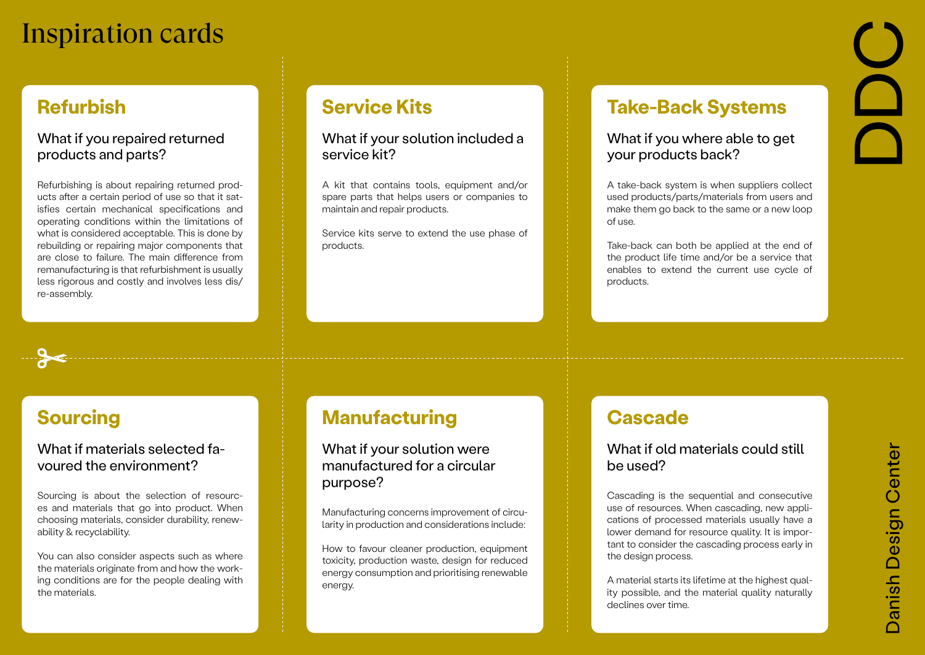### **Refurbish**

#### What if you repaired returned products and parts?

Refurbishing is about repairing returned products after a certain period of use so that it satisfies certain mechanical specifications and operating conditions within the limitations of what is considered acceptable. This is done by rebuilding or repairing major components that are close to failure. The main difference from remanufacturing is that refurbishment is usually less rigorous and costly and involves less dis/ re-assembly.

## **Service Kits**

#### What if your solution included a service kit?

A kit that contains tools, equipment and/or spare parts that helps users or companies to maintain and repair products.

Service kits serve to extend the use phase of products.

### **Take-Back Systems**

#### What if you where able to get your products back?

A take-back system is when suppliers collect used products/parts/materials from users and make them go back to the same or a new loop of use.

Take-back can both be applied at the end of the product life time and/or be a service that enables to extend the current use cycle of products.

### **Sourcing**

#### What if materials selected favoured the environment?

Sourcing is about the selection of resources and materials that go into product. When choosing materials, consider durability, renewability & recyclability.

You can also consider aspects such as where the materials originate from and how the working conditions are for the people dealing with the materials.

### **Manufacturing**

What if your solution were manufactured for a circular purpose?

Manufacturing concerns improvement of circularity in production and considerations include:

How to favour cleaner production, equipment toxicity, production waste, design for reduced energy consumption and prioritising renewable energy.

### **Cascade**

#### What if old materials could still be used?

Cascading is the sequential and consecutive use of resources. When cascading, new applications of processed materials usually have a lower demand for resource quality. It is important to consider the cascading process early in the design process.

A material starts its lifetime at the highest quality possible, and the material quality naturally declines over time.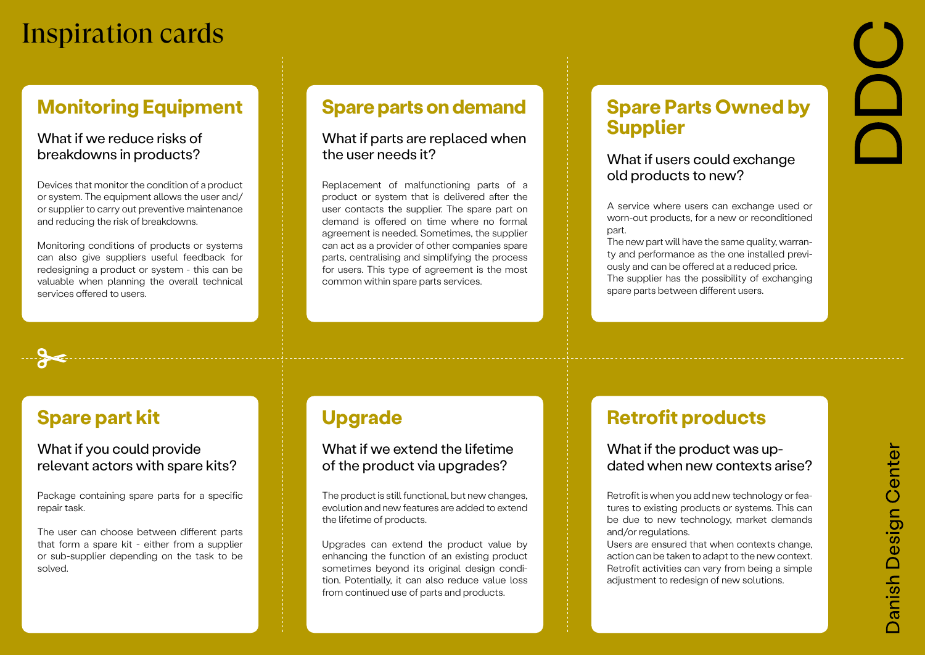### **Monitoring Equipment**

#### What if we reduce risks of breakdowns in products?

Devices that monitor the condition of a product or system. The equipment allows the user and/ or supplier to carry out preventive maintenance and reducing the risk of breakdowns.

Monitoring conditions of products or systems can also give suppliers useful feedback for redesigning a product or system - this can be valuable when planning the overall technical services offered to users.

### **Spare parts on demand**

#### What if parts are replaced when the user needs it?

Replacement of malfunctioning parts of a product or system that is delivered after the user contacts the supplier. The spare part on demand is offered on time where no formal agreement is needed. Sometimes, the supplier can act as a provider of other companies spare parts, centralising and simplifying the process for users. This type of agreement is the most common within spare parts services.

### **Spare Parts Owned by Supplier**

#### What if users could exchange old products to new?

A service where users can exchange used or worn-out products, for a new or reconditioned part.

The new part will have the same quality, warranty and performance as the one installed previously and can be offered at a reduced price. The supplier has the possibility of exchanging spare parts between different users.

# **Spare part kit**

#### What if you could provide relevant actors with spare kits?

Package containing spare parts for a specific repair task.

The user can choose between different parts that form a spare kit - either from a supplier or sub-supplier depending on the task to be solved.

### **Upgrade**

#### What if we extend the lifetime of the product via upgrades?

The product is still functional, but new changes, evolution and new features are added to extend the lifetime of products.

Upgrades can extend the product value by enhancing the function of an existing product sometimes beyond its original design condition. Potentially, it can also reduce value loss from continued use of parts and products.

### **Retrofit products**

#### What if the product was updated when new contexts arise?

Retrofit is when you add new technology or features to existing products or systems. This can be due to new technology, market demands and/or regulations.

Users are ensured that when contexts change, action can be taken to adapt to the new context. Retrofit activities can vary from being a simple adjustment to redesign of new solutions.